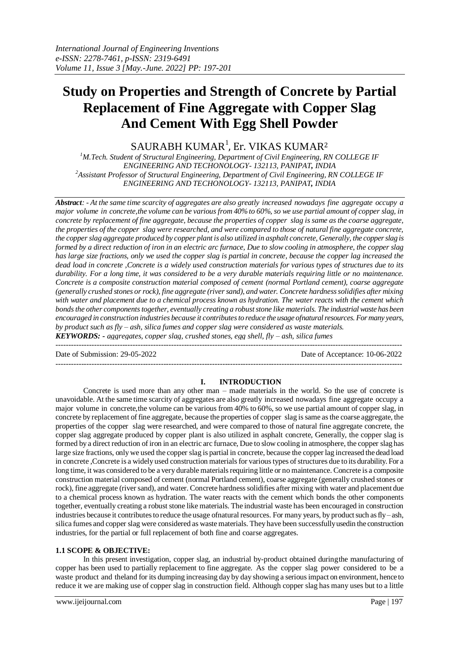# **Study on Properties and Strength of Concrete by Partial Replacement of Fine Aggregate with Copper Slag And Cement With Egg Shell Powder**

 $\mathop{\rm SAURABH}\nolimits$  KUMAR $^1$ , Er. VIKAS KUMAR $^2$ 

<sup>1</sup>*M.Tech. Student of Structural Engineering, Department of Civil Engineering, RN COLLEGE IF ENGINEERING AND TECHONOLOGY- 132113, PANIPAT, INDIA <sup>2</sup>Assistant Professor of Structural Engineering, Department of Civil Engineering, RN COLLEGE IF ENGINEERING AND TECHONOLOGY- 132113, PANIPAT, INDIA*

*Abstract: - At the same time scarcity of aggregates are also greatly increased nowadays fine aggregate occupy a major volume in concrete,the volume can be various from 40% to 60%, so we use partial amount of copper slag, in concrete by replacement of fine aggregate, because the properties of copper slag is same as the coarse aggregate, the properties of the copper slag were researched, and were compared to those of natural fine aggregate concrete, the copperslag aggregate produced by copper plant is also utilized in asphalt concrete, Generally, the copperslag is formed by a direct reduction of iron in an electric arc furnace, Due to slow cooling in atmosphere, the copper slag has large size fractions, only we used the copper slag is partial in concrete, because the copper lag increased the dead load in concrete ,Concrete is a widely used construction materials for various types of structures due to its durability. For a long time, it was considered to be a very durable materials requiring little or no maintenance. Concrete is a composite construction material composed of cement (normal Portland cement), coarse aggregate (generally crushed stones or rock), fine aggregate (river sand), and water. Concrete hardness solidifies after mixing with water and placement due to a chemical process known as hydration. The water reacts with the cement which bondsthe other componentstogether, eventually creating a robust stone like materials. The industrial waste has been encouraged in construction industries because it contributes to reduce the usage ofnatural resources. For many years, by product such as fly – ash, silica fumes and copper slag were considered as waste materials. KEYWORDS: - aggregates, copper slag, crushed stones, egg shell, fly – ash, silica fumes*

---------------------------------------------------------------------------------------------------------------------------------------

Date of Submission: 29-05-2022 Date of Acceptance: 10-06-2022

#### **I. INTRODUCTION**

---------------------------------------------------------------------------------------------------------------------------------------

Concrete is used more than any other man – made materials in the world. So the use of concrete is unavoidable. At the same time scarcity of aggregates are also greatly increased nowadays fine aggregate occupy a major volume in concrete,the volume can be various from 40% to 60%, so we use partial amount of copper slag, in concrete by replacement of fine aggregate, because the properties of copper slag is same as the coarse aggregate, the properties of the copper slag were researched, and were compared to those of natural fine aggregate concrete, the copper slag aggregate produced by copper plant is also utilized in asphalt concrete, Generally, the copper slag is formed by a direct reduction of iron in an electric arc furnace, Due to slow cooling in atmosphere, the copper slag has large size fractions, only we used the copper slag is partial in concrete, because the copper lag increased the dead load in concrete ,Concrete is a widely used construction materials for various types of structures due to its durability. For a long time, it was considered to be a very durable materials requiring little or no maintenance. Concrete is a composite construction material composed of cement (normal Portland cement), coarse aggregate (generally crushed stones or rock), fine aggregate (river sand), and water. Concrete hardness solidifies after mixing with water and placement due to a chemical process known as hydration. The water reacts with the cement which bonds the other components together, eventually creating a robust stone like materials. The industrial waste has been encouraged in construction industries because it contributes to reduce the usage ofnatural resources. For many years, by product such as fly – ash, silica fumes and copper slag were considered as waste materials. They have been successfully usedin the construction industries, for the partial or full replacement of both fine and coarse aggregates.

#### **1.1 SCOPE & OBJECTIVE:**

In this present investigation, copper slag, an industrial by-product obtained duringthe manufacturing of copper has been used to partially replacement to fine aggregate. As the copper slag power considered to be a waste product and theland for its dumping increasing day by day showing a seriousimpact on environment, hence to reduce it we are making use of copper slag in construction field. Although copper slag has many uses but to a little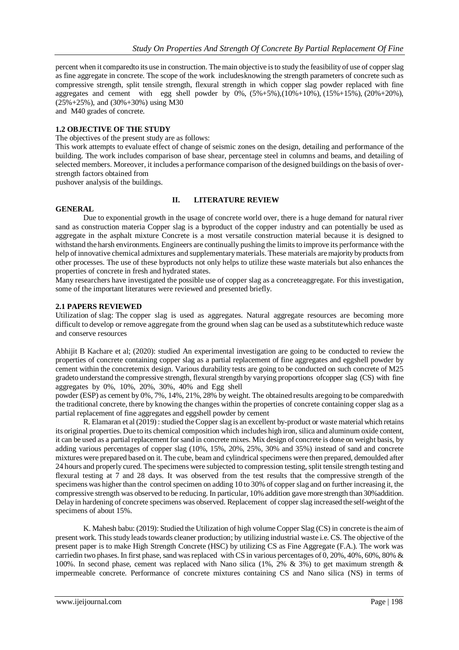percent when it comparedto its use in construction. The main objective is to study the feasibility of use of copper slag as fine aggregate in concrete. The scope of the work includesknowing the strength parameters of concrete such as compressive strength, split tensile strength, flexural strength in which copper slag powder replaced with fine aggregates and cement with egg shell powder by  $0\%$ ,  $(5\% + 5\%)$ ,  $(10\% + 10\%)$ ,  $(15\% + 15\%)$ ,  $(20\% + 20\%)$ ,  $(25\% + 25\%)$ , and  $(30\% + 30\%)$  using M30 and M40 grades of concrete.

**1.2 OBJECTIVE OF THE STUDY**

The objectives of the present study are as follows:

This work attempts to evaluate effect of change of seismic zones on the design, detailing and performance of the building. The work includes comparison of base shear, percentage steel in columns and beams, and detailing of selected members. Moreover, it includes a performance comparison of the designed buildings on the basis of overstrength factors obtained from

pushover analysis of the buildings.

## **II. LITERATURE REVIEW**

#### **GENERAL**

Due to exponential growth in the usage of concrete world over, there is a huge demand for natural river sand as construction materia Copper slag is a byproduct of the copper industry and can potentially be used as aggregate in the asphalt mixture Concrete is a most versatile construction material because it is designed to withstand the harsh environments. Engineers are continually pushing the limits to improve its performance with the help of innovative chemical admixtures and supplementary materials. These materials are majority by products from other processes. The use of these byproducts not only helps to utilize these waste materials but also enhances the properties of concrete in fresh and hydrated states.

Many researchers have investigated the possible use of copper slag as a concreteaggregate. For this investigation, some of the important literatures were reviewed and presented briefly.

#### **2.1 PAPERS REVIEWED**

Utilization of slag: The copper slag is used as aggregates. Natural aggregate resources are becoming more difficult to develop or remove aggregate from the ground when slag can be used as a substitutewhich reduce waste and conserve resources

Abhijit B Kachare et al; (2020): studied An experimental investigation are going to be conducted to review the properties of concrete containing copper slag as a partial replacement of fine aggregates and eggshell powder by cement within the concretemix design. Various durability tests are going to be conducted on such concrete of M25 gradeto understand the compressive strength, flexural strength by varying proportions ofcopper slag (CS) with fine aggregates by 0%, 10%, 20%, 30%, 40% and Egg shell

powder (ESP) as cement by 0%, 7%, 14%, 21%, 28% by weight. The obtained results aregoing to be comparedwith the traditional concrete, there by knowing the changes within the properties of concrete containing copper slag as a partial replacement of fine aggregates and eggshell powder by cement

R. Elamaran et al (2019) : studied the Copper slag is an excellent by-product or waste material which retains its original properties. Due to its chemical composition which includes high iron, silica and aluminum oxide content, it can be used as a partial replacement for sand in concrete mixes. Mix design of concrete is done on weight basis, by adding various percentages of copper slag (10%, 15%, 20%, 25%, 30% and 35%) instead of sand and concrete mixtures were prepared based on it. The cube, beam and cylindrical specimens were then prepared, demoulded after 24 hours and properly cured. The specimens were subjected to compression testing, split tensile strength testing and flexural testing at 7 and 28 days. It was observed from the test results that the compressive strength of the specimens was higher than the control specimen on adding 10 to 30% of copper slag and on further increasing it, the compressive strength was observed to be reducing. In particular, 10% addition gave more strength than 30%addition. Delay in hardening of concrete specimens was observed. Replacement of copper slag increased the self-weight of the specimens of about 15%.

K. Mahesh babu: (2019): Studied the Utilization of high volume Copper Slag (CS) in concrete is the aim of present work. This study leads towards cleaner production; by utilizing industrial waste i.e. CS. The objective of the present paper is to make High Strength Concrete (HSC) by utilizing CS as Fine Aggregate (F.A.). The work was carriedin two phases. In first phase, sand was replaced with CS in various percentages of 0, 20%, 40%, 60%, 80% & 100%. In second phase, cement was replaced with Nano silica (1%, 2% & 3%) to get maximum strength & impermeable concrete. Performance of concrete mixtures containing CS and Nano silica (NS) in terms of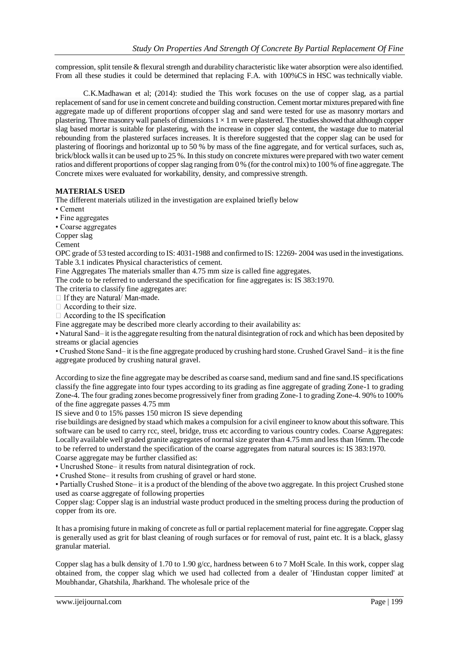compression, split tensile & flexural strength and durability characteristic like water absorption were also identified. From all these studies it could be determined that replacing F.A. with 100%CS in HSC was technically viable.

C.K.Madhawan et al; (2014): studied the This work focuses on the use of copper slag, as a partial replacement ofsand for use in cement concrete and building construction. Cement mortar mixtures prepared with fine aggregate made up of different proportions ofcopper slag and sand were tested for use as masonry mortars and plastering. Three masonry wall panels of dimensions  $1 \times 1$  m were plastered. The studies showed that although copper slag based mortar is suitable for plastering, with the increase in copper slag content, the wastage due to material rebounding from the plastered surfaces increases. It is therefore suggested that the copper slag can be used for plastering of floorings and horizontal up to 50 % by mass of the fine aggregate, and for vertical surfaces, such as, brick/block walls it can be used up to 25 %. In this study on concrete mixtures were prepared with two water cement ratios and different proportions of copper slag ranging from 0 % (for the control mix) to 100 % of fine aggregate. The Concrete mixes were evaluated for workability, density, and compressive strength.

### **MATERIALS USED**

The different materials utilized in the investigation are explained briefly below

- Cement
- Fine aggregates
- Coarse aggregates
- Copper slag
- Cement

OPC grade of 53 tested according to IS: 4031-1988 and confirmed to IS: 12269- 2004 was used in the investigations. Table 3.1 indicates Physical characteristics of cement.

Fine Aggregates The materials smaller than 4.75 mm size is called fine aggregates.

The code to be referred to understand the specification for fine aggregates is: IS 383:1970.

The criteria to classify fine aggregates are:

 $\Box$  If they are Natural/Man-made.

 $\Box$  According to their size.

 $\Box$  According to the IS specification

Fine aggregate may be described more clearly according to their availability as:

• Natural Sand– it is the aggregate resulting from the natural disintegration of rock and which has been deposited by streams or glacial agencies

• Crushed Stone Sand– it is the fine aggregate produced by crushing hard stone. Crushed Gravel Sand– it is the fine aggregate produced by crushing natural gravel.

According to size the fine aggregate may be described as coarse sand, medium sand and fine sand.IS specifications classify the fine aggregate into four types according to its grading as fine aggregate of grading Zone-1 to grading Zone-4. The four grading zones become progressively finer from grading Zone-1 to grading Zone-4. 90% to 100% of the fine aggregate passes 4.75 mm

IS sieve and 0 to 15% passes 150 micron IS sieve depending

rise buildings are designed by staad which makes a compulsion for a civil engineer to know about thissoftware. This software can be used to carry rcc, steel, bridge, truss etc according to various country codes. Coarse Aggregates: Locally available well graded granite aggregates of normal size greater than 4.75 mm and less than 16mm. The code to be referred to understand the specification of the coarse aggregates from natural sources is: IS 383:1970. Coarse aggregate may be further classified as:

• Uncrushed Stone– it results from natural disintegration of rock.

• Crushed Stone– it results from crushing of gravel or hard stone.

• Partially Crushed Stone– it is a product of the blending of the above two aggregate. In this project Crushed stone used as coarse aggregate of following properties

Copper slag: Copper slag is an industrial waste product produced in the smelting process during the production of copper from its ore.

It has a promising future in making of concrete as full or partial replacement material for fine aggregate. Copper slag is generally used as grit for blast cleaning of rough surfaces or for removal of rust, paint etc. It is a black, glassy granular material.

Copper slag has a bulk density of 1.70 to 1.90 g/cc, hardness between 6 to 7 MoH Scale. In this work, copper slag obtained from, the copper slag which we used had collected from a dealer of 'Hindustan copper limited' at Moubhandar, Ghatshila, Jharkhand. The wholesale price of the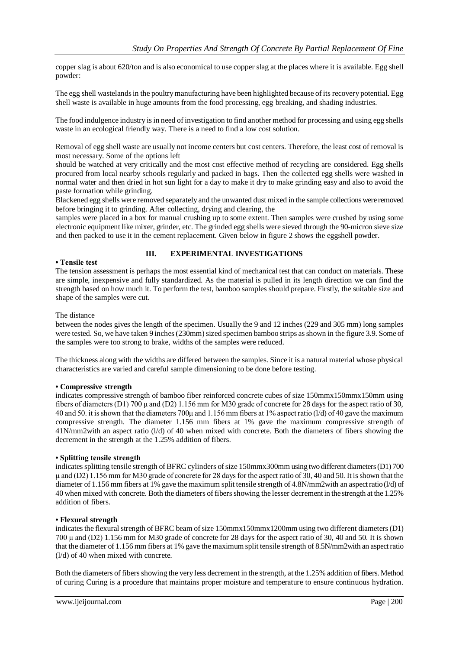copper slag is about 620/ton and is also economical to use copper slag at the places where it is available. Egg shell powder:

The egg shell wastelands in the poultry manufacturing have been highlighted because of its recovery potential. Egg shell waste is available in huge amounts from the food processing, egg breaking, and shading industries.

The food indulgence industry is in need of investigation to find another method for processing and using egg shells waste in an ecological friendly way. There is a need to find a low cost solution.

Removal of egg shell waste are usually not income centers but cost centers. Therefore, the least cost of removal is most necessary. Some of the options left

should be watched at very critically and the most cost effective method of recycling are considered. Egg shells procured from local nearby schools regularly and packed in bags. Then the collected egg shells were washed in normal water and then dried in hot sun light for a day to make it dry to make grinding easy and also to avoid the paste formation while grinding.

Blackened egg shells were removed separately and the unwanted dust mixed in the sample collections were removed before bringing it to grinding. After collecting, drying and clearing, the

samples were placed in a box for manual crushing up to some extent. Then samples were crushed by using some electronic equipment like mixer, grinder, etc. The grinded egg shells were sieved through the 90-micron sieve size and then packed to use it in the cement replacement. Given below in figure 2 shows the eggshell powder.

#### **• Tensile test**

#### **III. EXPERIMENTAL INVESTIGATIONS**

The tension assessment is perhaps the most essential kind of mechanical test that can conduct on materials. These are simple, inexpensive and fully standardized. As the material is pulled in its length direction we can find the strength based on how much it. To perform the test, bamboo samples should prepare. Firstly, the suitable size and shape of the samples were cut.

#### The distance

between the nodes gives the length of the specimen. Usually the 9 and 12 inches (229 and 305 mm) long samples were tested. So, we have taken 9 inches (230mm) sized specimen bamboo strips as shown in the figure 3.9. Some of the samples were too strong to brake, widths of the samples were reduced.

The thickness along with the widths are differed between the samples. Since it is a natural material whose physical characteristics are varied and careful sample dimensioning to be done before testing.

#### **• Compressive strength**

indicates compressive strength of bamboo fiber reinforced concrete cubes of size 150mmx150mmx150mm using fibers of diameters (D1) 700 μ and (D2) 1.156 mm for M30 grade of concrete for 28 days for the aspect ratio of 30, 40 and 50. it is shown that the diameters 700μ and 1.156 mm fibers at 1% aspect ratio (l/d) of 40 gave the maximum compressive strength. The diameter 1.156 mm fibers at 1% gave the maximum compressive strength of 41N/mm2with an aspect ratio (l/d) of 40 when mixed with concrete. Both the diameters of fibers showing the decrement in the strength at the 1.25% addition of fibers.

#### **• Splitting tensile strength**

indicates splitting tensile strength of BFRC cylinders of size 150mmx300mm using two different diameters (D1) 700 μ and (D2) 1.156 mm for M30 grade of concrete for 28 days for the aspect ratio of 30, 40 and 50. It is shown that the diameter of 1.156 mm fibers at 1% gave the maximum split tensile strength of 4.8N/mm2with an aspect ratio (l/d) of 40 when mixed with concrete. Both the diameters of fibers showing the lesser decrement in the strength at the 1.25% addition of fibers.

#### **• Flexural strength**

indicates the flexural strength of BFRC beam of size 150mmx150mmx1200mm using two different diameters (D1) 700 μ and (D2) 1.156 mm for M30 grade of concrete for 28 days for the aspect ratio of 30, 40 and 50. It is shown that the diameter of 1.156 mm fibers at 1% gave the maximum split tensile strength of 8.5N/mm2with an aspect ratio (l/d) of 40 when mixed with concrete.

Both the diameters of fibers showing the very less decrement in the strength, at the 1.25% addition of fibers. Method of curing Curing is a procedure that maintains proper moisture and temperature to ensure continuous hydration.